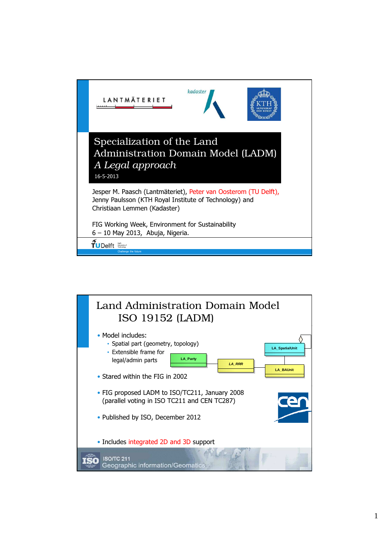

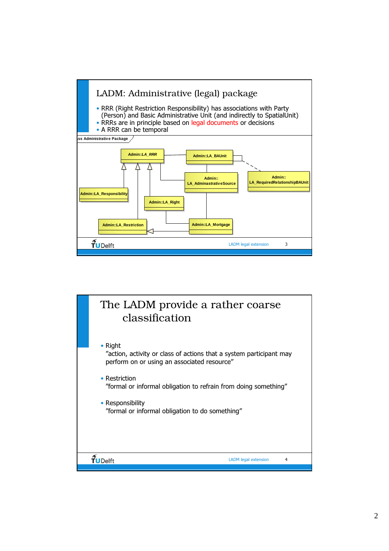

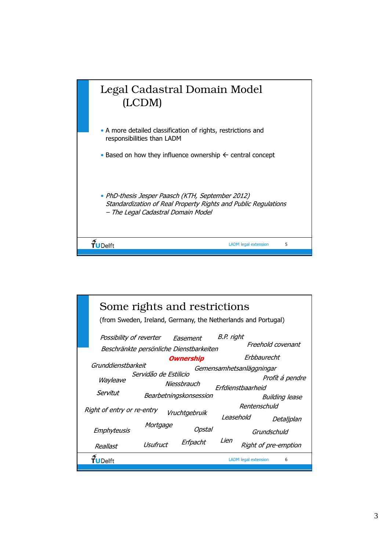

|  | Possibility of reverter    |                                         |                        | Some rights and restrictions<br>(from Sweden, Ireland, Germany, the Netherlands and Portugal)<br>Easement | B.P. right               |                                     |                      |  |
|--|----------------------------|-----------------------------------------|------------------------|-----------------------------------------------------------------------------------------------------------|--------------------------|-------------------------------------|----------------------|--|
|  |                            | Beschränkte persönliche Dienstbarkeiten |                        |                                                                                                           |                          | Freehold covenant                   |                      |  |
|  | Grunddienstbarkeit         |                                         |                        | <i><b>Ownership</b></i>                                                                                   | Erbbaurecht              |                                     |                      |  |
|  |                            |                                         |                        |                                                                                                           | Gemensamhetsanläggningar |                                     |                      |  |
|  | Wayleave                   | Servidão de Estilicio                   |                        |                                                                                                           |                          | Profít á pendre                     |                      |  |
|  |                            |                                         | Niessbrauch            |                                                                                                           |                          | Erfdienstbaarheid<br>Building lease |                      |  |
|  | Servitut                   |                                         | Bearbetningskonsession |                                                                                                           |                          |                                     |                      |  |
|  | Right of entry or re-entry |                                         |                        |                                                                                                           | Rentenschuld             |                                     |                      |  |
|  |                            |                                         |                        | Vruchtgebruik                                                                                             | Leasehold                |                                     | Detaljplan           |  |
|  | Emphyteusis                | Mortgage                                |                        | Opstal                                                                                                    |                          |                                     | Grundschuld          |  |
|  | Reallast                   | Usufruct                                |                        | Erfpacht                                                                                                  | Lien                     |                                     | Right of pre-emption |  |
|  | Delft                      |                                         |                        |                                                                                                           |                          | <b>LADM</b> legal extension         | 6                    |  |
|  |                            |                                         |                        |                                                                                                           |                          |                                     |                      |  |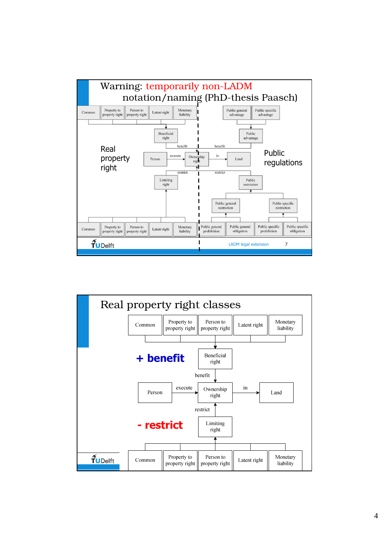

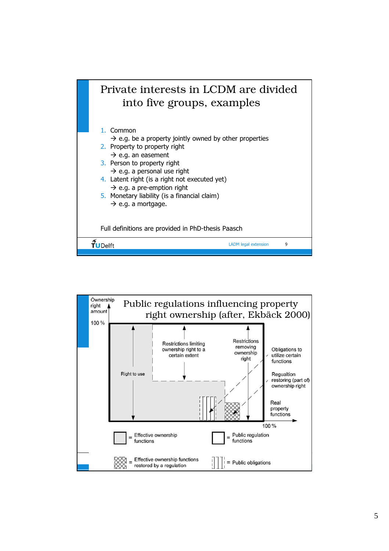

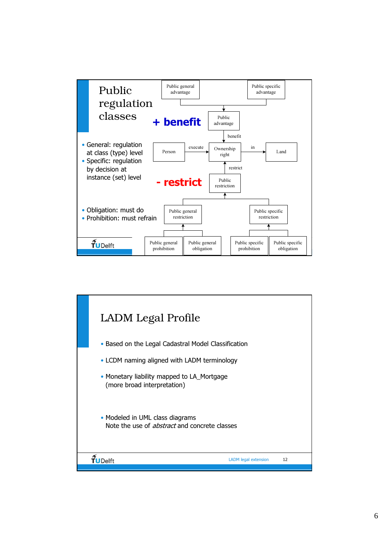

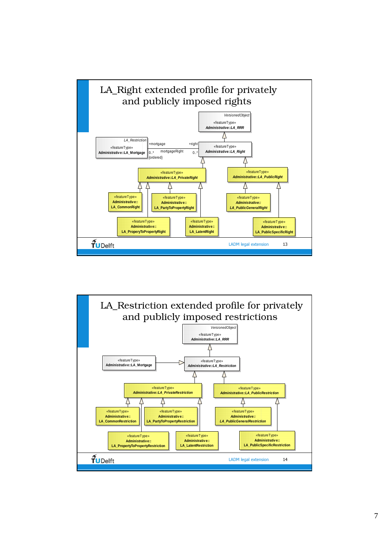

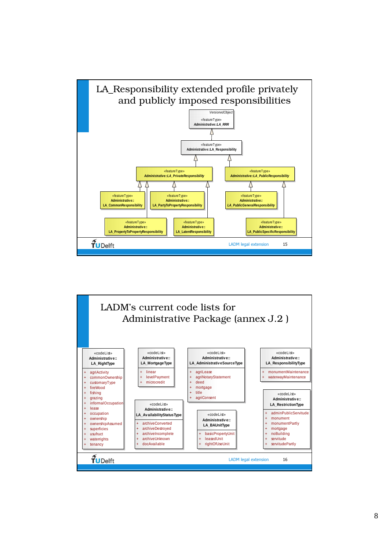

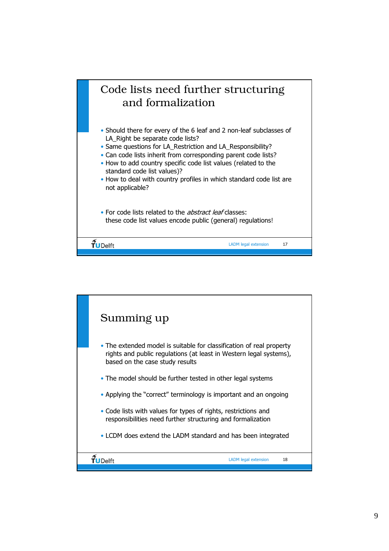

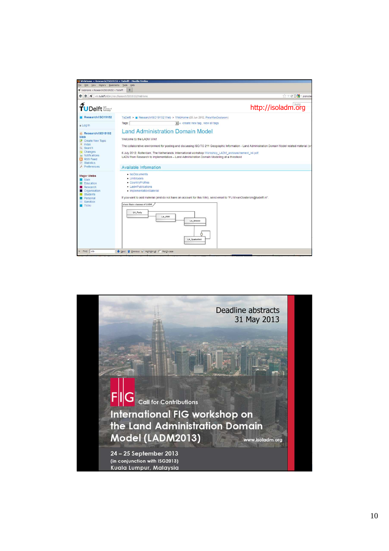

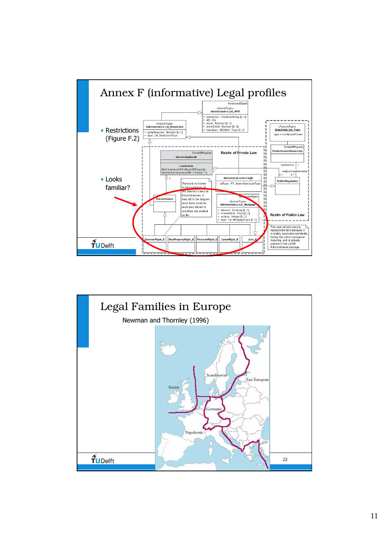

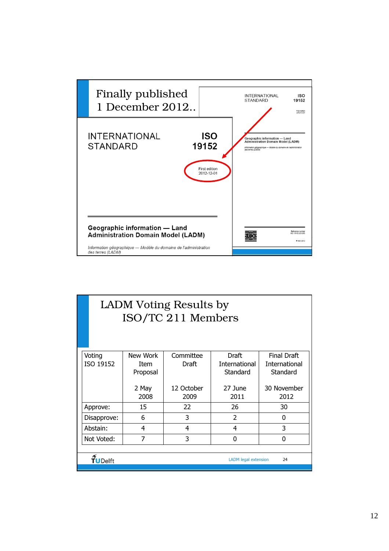

|                                              | LADM Voting Results by<br>ISO/TC 211 Members |               |                     |                 |                     |  |  |  |
|----------------------------------------------|----------------------------------------------|---------------|---------------------|-----------------|---------------------|--|--|--|
|                                              | Voting                                       | New Work      | Committee           | Draft           | <b>Final Draft</b>  |  |  |  |
|                                              | ISO 19152                                    | <b>Item</b>   | Draft               | International   | International       |  |  |  |
|                                              |                                              | Proposal      |                     | Standard        | Standard            |  |  |  |
|                                              |                                              | 2 May<br>2008 | 12 October<br>2009  | 27 June<br>2011 | 30 November<br>2012 |  |  |  |
|                                              | Approve:                                     | 15            | 22                  | 26              | 30                  |  |  |  |
|                                              | Disapprove:                                  | 6             | 3<br>$\overline{2}$ |                 | 0                   |  |  |  |
|                                              | Abstain:                                     | 4             | $\overline{4}$      | 4               | 3                   |  |  |  |
|                                              | 7<br>Not Voted:                              |               | 3                   | 0               | 0                   |  |  |  |
|                                              |                                              |               |                     |                 |                     |  |  |  |
| TuDelft<br><b>LADM</b> legal extension<br>24 |                                              |               |                     |                 |                     |  |  |  |
|                                              |                                              |               |                     |                 |                     |  |  |  |